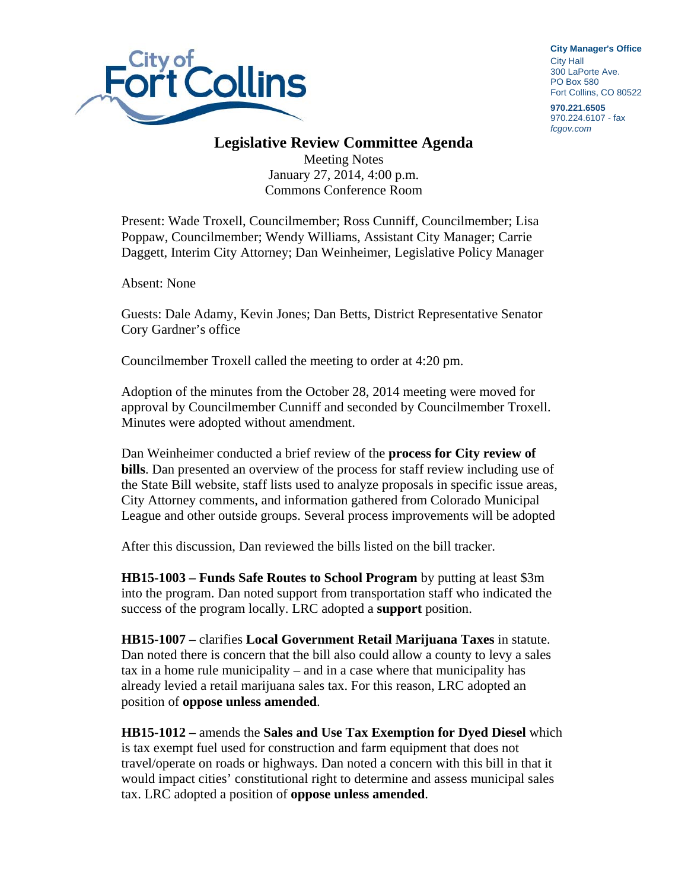

**City Manager**'**s Office** City Hall 300 LaPorte Ave. PO Box 580 Fort Collins, CO 80522

**970.221.6505**  970.224.6107 - fax *fcgov.com* 

## **Legislative Review Committee Agenda**

Meeting Notes January 27, 2014, 4:00 p.m. Commons Conference Room

Present: Wade Troxell, Councilmember; Ross Cunniff, Councilmember; Lisa Poppaw, Councilmember; Wendy Williams, Assistant City Manager; Carrie Daggett, Interim City Attorney; Dan Weinheimer, Legislative Policy Manager

Absent: None

Guests: Dale Adamy, Kevin Jones; Dan Betts, District Representative Senator Cory Gardner's office

Councilmember Troxell called the meeting to order at 4:20 pm.

Adoption of the minutes from the October 28, 2014 meeting were moved for approval by Councilmember Cunniff and seconded by Councilmember Troxell. Minutes were adopted without amendment.

Dan Weinheimer conducted a brief review of the **process for City review of bills**. Dan presented an overview of the process for staff review including use of the State Bill website, staff lists used to analyze proposals in specific issue areas, City Attorney comments, and information gathered from Colorado Municipal League and other outside groups. Several process improvements will be adopted

After this discussion, Dan reviewed the bills listed on the bill tracker.

**HB15-1003 – Funds Safe Routes to School Program** by putting at least \$3m into the program. Dan noted support from transportation staff who indicated the success of the program locally. LRC adopted a **support** position.

**HB15-1007 –** clarifies **Local Government Retail Marijuana Taxes** in statute. Dan noted there is concern that the bill also could allow a county to levy a sales tax in a home rule municipality – and in a case where that municipality has already levied a retail marijuana sales tax. For this reason, LRC adopted an position of **oppose unless amended**.

**HB15-1012 –** amends the **Sales and Use Tax Exemption for Dyed Diesel** which is tax exempt fuel used for construction and farm equipment that does not travel/operate on roads or highways. Dan noted a concern with this bill in that it would impact cities' constitutional right to determine and assess municipal sales tax. LRC adopted a position of **oppose unless amended**.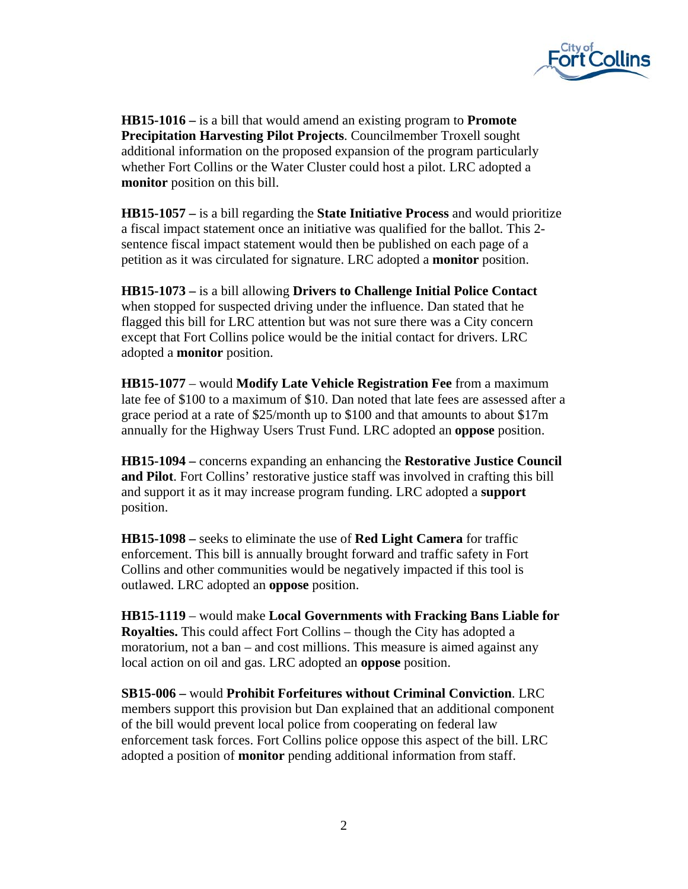

**HB15-1016 –** is a bill that would amend an existing program to **Promote Precipitation Harvesting Pilot Projects**. Councilmember Troxell sought additional information on the proposed expansion of the program particularly whether Fort Collins or the Water Cluster could host a pilot. LRC adopted a **monitor** position on this bill.

**HB15-1057 –** is a bill regarding the **State Initiative Process** and would prioritize a fiscal impact statement once an initiative was qualified for the ballot. This 2 sentence fiscal impact statement would then be published on each page of a petition as it was circulated for signature. LRC adopted a **monitor** position.

**HB15-1073 –** is a bill allowing **Drivers to Challenge Initial Police Contact** when stopped for suspected driving under the influence. Dan stated that he flagged this bill for LRC attention but was not sure there was a City concern except that Fort Collins police would be the initial contact for drivers. LRC adopted a **monitor** position.

**HB15-1077** – would **Modify Late Vehicle Registration Fee** from a maximum late fee of \$100 to a maximum of \$10. Dan noted that late fees are assessed after a grace period at a rate of \$25/month up to \$100 and that amounts to about \$17m annually for the Highway Users Trust Fund. LRC adopted an **oppose** position.

**HB15-1094 –** concerns expanding an enhancing the **Restorative Justice Council and Pilot**. Fort Collins' restorative justice staff was involved in crafting this bill and support it as it may increase program funding. LRC adopted a **support** position.

**HB15-1098 –** seeks to eliminate the use of **Red Light Camera** for traffic enforcement. This bill is annually brought forward and traffic safety in Fort Collins and other communities would be negatively impacted if this tool is outlawed. LRC adopted an **oppose** position.

**HB15-1119** – would make **Local Governments with Fracking Bans Liable for Royalties.** This could affect Fort Collins – though the City has adopted a moratorium, not a ban – and cost millions. This measure is aimed against any local action on oil and gas. LRC adopted an **oppose** position.

**SB15-006 –** would **Prohibit Forfeitures without Criminal Conviction**. LRC members support this provision but Dan explained that an additional component of the bill would prevent local police from cooperating on federal law enforcement task forces. Fort Collins police oppose this aspect of the bill. LRC adopted a position of **monitor** pending additional information from staff.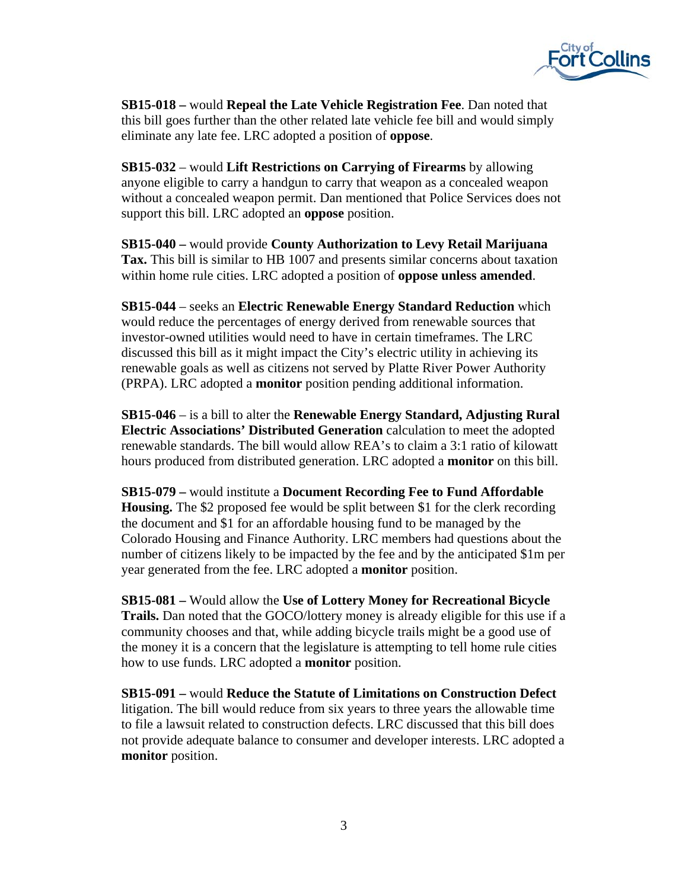

**SB15-018 –** would **Repeal the Late Vehicle Registration Fee**. Dan noted that this bill goes further than the other related late vehicle fee bill and would simply eliminate any late fee. LRC adopted a position of **oppose**.

**SB15-032** – would **Lift Restrictions on Carrying of Firearms** by allowing anyone eligible to carry a handgun to carry that weapon as a concealed weapon without a concealed weapon permit. Dan mentioned that Police Services does not support this bill. LRC adopted an **oppose** position.

**SB15-040 –** would provide **County Authorization to Levy Retail Marijuana Tax.** This bill is similar to HB 1007 and presents similar concerns about taxation within home rule cities. LRC adopted a position of **oppose unless amended**.

**SB15-044** – seeks an **Electric Renewable Energy Standard Reduction** which would reduce the percentages of energy derived from renewable sources that investor-owned utilities would need to have in certain timeframes. The LRC discussed this bill as it might impact the City's electric utility in achieving its renewable goals as well as citizens not served by Platte River Power Authority (PRPA). LRC adopted a **monitor** position pending additional information.

**SB15-046** – is a bill to alter the **Renewable Energy Standard, Adjusting Rural Electric Associations' Distributed Generation** calculation to meet the adopted renewable standards. The bill would allow REA's to claim a 3:1 ratio of kilowatt hours produced from distributed generation. LRC adopted a **monitor** on this bill.

**SB15-079 –** would institute a **Document Recording Fee to Fund Affordable Housing.** The \$2 proposed fee would be split between \$1 for the clerk recording the document and \$1 for an affordable housing fund to be managed by the Colorado Housing and Finance Authority. LRC members had questions about the number of citizens likely to be impacted by the fee and by the anticipated \$1m per year generated from the fee. LRC adopted a **monitor** position.

**SB15-081 –** Would allow the **Use of Lottery Money for Recreational Bicycle Trails.** Dan noted that the GOCO/lottery money is already eligible for this use if a community chooses and that, while adding bicycle trails might be a good use of the money it is a concern that the legislature is attempting to tell home rule cities how to use funds. LRC adopted a **monitor** position.

**SB15-091 –** would **Reduce the Statute of Limitations on Construction Defect** litigation. The bill would reduce from six years to three years the allowable time to file a lawsuit related to construction defects. LRC discussed that this bill does not provide adequate balance to consumer and developer interests. LRC adopted a **monitor** position.